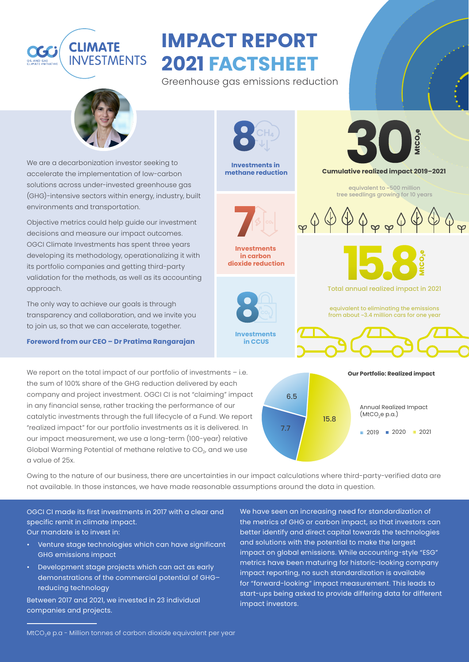## **CLIMATE INVESTMENTS**

# **IMPACT REPORT 2021 FACTSHEET**

Greenhouse gas emissions reduction



We are a decarbonization investor seeking to accelerate the implementation of low-carbon solutions across under-invested greenhouse gas (GHG)-intensive sectors within energy, industry, built environments and transportation.

Objective metrics could help guide our investment decisions and measure our impact outcomes. OGCI Climate Investments has spent three years developing its methodology, operationalizing it with its portfolio companies and getting third-party validation for the methods, as well as its accounting approach.

The only way to achieve our goals is through transparency and collaboration, and we invite you to join us, so that we can accelerate, together.

#### **Foreword from our CEO – Dr Pratima Rangarajan**

We report on the total impact of our portfolio of investments - i.e. the sum of 100% share of the GHG reduction delivered by each company and project investment. OGCI CI is not "claiming" impact in any financial sense, rather tracking the performance of our catalytic investments through the full lifecycle of a Fund. We report "realized impact" for our portfolio investments as it is delivered. In our impact measurement, we use a long-term (100-year) relative Global Warming Potential of methane relative to  $CO<sub>2</sub>$ , and we use a value of 25x.



**Investments in methane reduction**



**Investments in carbon dioxide reduction**



tCO<sub>2</sub>e

**Cumulative realized impact 2019–2021**

equivalent to ~500 million tree seedlings growing for 10 years



Total annual realized impact in 2021

equivalent to eliminating the emissions from about ~3.4 million cars for one year



Owing to the nature of our business, there are uncertainties in our impact calculations where third-party-verified data are not available. In those instances, we have made reasonable assumptions around the data in question.

OGCI CI made its first investments in 2017 with a clear and specific remit in climate impact. Our mandate is to invest in:

- Venture stage technologies which can have significant GHG emissions impact
- Development stage projects which can act as early demonstrations of the commercial potential of GHG– reducing technology

Between 2017 and 2021, we invested in 23 individual companies and projects.

We have seen an increasing need for standardization of the metrics of GHG or carbon impact, so that investors can better identify and direct capital towards the technologies and solutions with the potential to make the largest impact on global emissions. While accounting-style "ESG" metrics have been maturing for historic-looking company impact reporting, no such standardization is available for "forward-looking" impact measurement. This leads to start-ups being asked to provide differing data for different impact investors.

MtCO<sub>2</sub>e p.a - Million tonnes of carbon dioxide equivalent per year